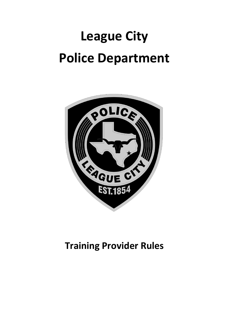# **League City Police Department**



# **Training Provider Rules**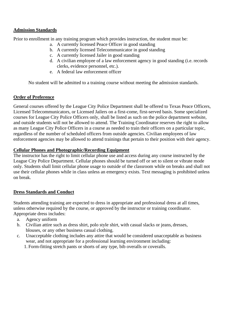#### **Admission Standards**

Prior to enrollment in any training program which provides instruction, the student must be:

- a. A currently licensed Peace Officer in good standing
- b. A currently licensed Telecommunicator in good standing
- c. A currently licensed Jailer in good standing
- d. A civilian employee of a law enforcement agency in good standing (i.e. records clerks, evidence personnel, etc.).
- e. A federal law enforcement officer

No student will be admitted to a training course without meeting the admission standards.

#### **Order of Preference**

General courses offered by the League City Police Department shall be offered to Texas Peace Officers, Licensed Telecommunicators, or Licensed Jailers on a first-come, first-served basis. Some specialized courses for League City Police Officers only, shall be listed as such on the police department website, and outside students will not be allowed to attend. The Training Coordinator reserves the right to allow as many League City Police Officers in a course as needed to train their officers on a particular topic, regardless of the number of scheduled officers from outside agencies. Civilian employees of law enforcement agencies may be allowed to attend trainings that pertain to their position with their agency.

#### **Cellular Phones and Photographic/Recording Equipment**

The instructor has the right to limit cellular phone use and access during any course instructed by the League City Police Department. Cellular phones should be turned off or set to silent or vibrate mode only. Students shall limit cellular phone usage to outside of the classroom while on breaks and shall not use their cellular phones while in class unless an emergency exists. Text messaging is prohibited unless on break.

#### **Dress Standards and Conduct**

Students attending training are expected to dress in appropriate and professional dress at all times, unless otherwise required by the course, or approved by the instructor or training coordinator. Appropriate dress includes:

- a. Agency uniform
- b. Civilian attire such as dress shirt, polo style shirt, with casual slacks or jeans, dresses, blouses, or any other business casual clothing.
- c. Unacceptable clothing includes any attire that would be considered unacceptable as business wear, and not appropriate for a professional learning environment including:
	- 1. Form-fitting stretch pants or shorts of any type, bib overalls or coveralls.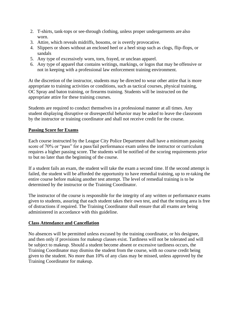- 2. T-shirts, tank-tops or see-through clothing, unless proper undergarments are also worn.
- 3. Attire, which reveals midriffs, bosoms, or is overtly provocative.
- 4. Slippers or shoes without an enclosed heel or a heel strap such as clogs, flip-flops, or sandals
- 5. Any type of excessively worn, torn, frayed, or unclean apparel.
- 6. Any type of apparel that contains writings, markings, or logos that may be offensive or not in keeping with a professional law enforcement training environment.

At the discretion of the instructor, students may be directed to wear other attire that is more appropriate to training activities or conditions, such as tactical courses, physical training, OC Spray and baton training, or firearms training. Students will be instructed on the appropriate attire for these training courses.

Students are required to conduct themselves in a professional manner at all times. Any student displaying disruptive or disrespectful behavior may be asked to leave the classroom by the instructor or training coordinator and shall not receive credit for the course.

## **Passing Score for Exams**

Each course instructed by the League City Police Department shall have a minimum passing score of 70% or "pass" for a pass/fail performance exam unless the instructor or curriculum requires a higher passing score. The students will be notified of the scoring requirements prior to but no later than the beginning of the course.

If a student fails an exam, the student will take the exam a second time. If the second attempt is failed, the student will be afforded the opportunity to have remedial training, up to re-taking the entire course before making another test attempt. The level of remedial training is to be determined by the instructor or the Training Coordinator.

The instructor of the course is responsible for the integrity of any written or performance exams given to students, assuring that each student takes their own test, and that the testing area is free of distractions if required. The Training Coordinator shall ensure that all exams are being administered in accordance with this guideline.

#### **Class Attendance and Cancellation**

No absences will be permitted unless excused by the training coordinator, or his designee, and then only if provisions for makeup classes exist. Tardiness will not be tolerated and will be subject to makeup. Should a student become absent or excessive tardiness occurs, the Training Coordinator may dismiss the student from the course, with no course credit being given to the student. No more than 10% of any class may be missed, unless approved by the Training Coordinator for makeup.